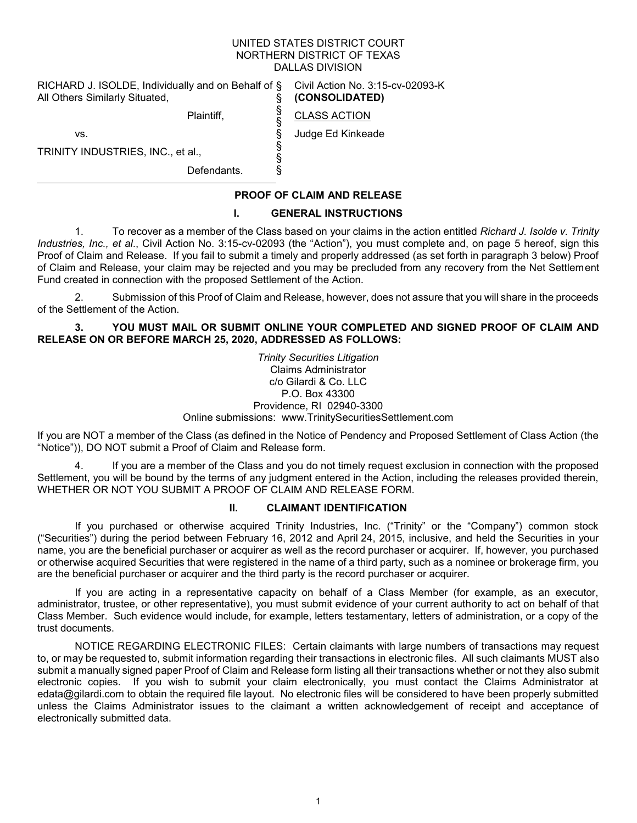#### UNITED STATES DISTRICT COURT NORTHERN DISTRICT OF TEXAS DALLAS DIVISION

§ § § § § §

RICHARD J. ISOLDE, Individually and on Behalf of § All Others Similarly Situated, §

Plaintiff,

Civil Action No. 3:15-cv-02093-K **(CONSOLIDATED)**

CLASS ACTION

Judge Ed Kinkeade

TRINITY INDUSTRIES, INC., et al.,

vs.

Defendants.

## **PROOF OF CLAIM AND RELEASE**

#### **I. GENERAL INSTRUCTIONS**

1. To recover as a member of the Class based on your claims in the action entitled *Richard J. Isolde v. Trinity Industries, Inc., et al*., Civil Action No. 3:15-cv-02093 (the "Action"), you must complete and, on page 5 hereof, sign this Proof of Claim and Release. If you fail to submit a timely and properly addressed (as set forth in paragraph 3 below) Proof of Claim and Release, your claim may be rejected and you may be precluded from any recovery from the Net Settlement Fund created in connection with the proposed Settlement of the Action.

2. Submission of this Proof of Claim and Release, however, does not assure that you will share in the proceeds of the Settlement of the Action.

**3. YOU MUST MAIL OR SUBMIT ONLINE YOUR COMPLETED AND SIGNED PROOF OF CLAIM AND RELEASE ON OR BEFORE MARCH 25, 2020, ADDRESSED AS FOLLOWS:**

> *Trinity Securities Litigation* Claims Administrator c/o Gilardi & Co. LLC P.O. Box 43300 Providence, RI 02940-3300 Online submissions: www.TrinitySecuritiesSettlement.com

If you are NOT a member of the Class (as defined in the Notice of Pendency and Proposed Settlement of Class Action (the "Notice")), DO NOT submit a Proof of Claim and Release form.

4. If you are a member of the Class and you do not timely request exclusion in connection with the proposed Settlement, you will be bound by the terms of any judgment entered in the Action, including the releases provided therein, WHETHER OR NOT YOU SUBMIT A PROOF OF CLAIM AND RELEASE FORM.

#### **II. CLAIMANT IDENTIFICATION**

If you purchased or otherwise acquired Trinity Industries, Inc. ("Trinity" or the "Company") common stock ("Securities") during the period between February 16, 2012 and April 24, 2015, inclusive, and held the Securities in your name, you are the beneficial purchaser or acquirer as well as the record purchaser or acquirer. If, however, you purchased or otherwise acquired Securities that were registered in the name of a third party, such as a nominee or brokerage firm, you are the beneficial purchaser or acquirer and the third party is the record purchaser or acquirer.

If you are acting in a representative capacity on behalf of a Class Member (for example, as an executor, administrator, trustee, or other representative), you must submit evidence of your current authority to act on behalf of that Class Member. Such evidence would include, for example, letters testamentary, letters of administration, or a copy of the trust documents.

NOTICE REGARDING ELECTRONIC FILES: Certain claimants with large numbers of transactions may request to, or may be requested to, submit information regarding their transactions in electronic files. All such claimants MUST also submit a manually signed paper Proof of Claim and Release form listing all their transactions whether or not they also submit electronic copies. If you wish to submit your claim electronically, you must contact the Claims Administrator at edata@gilardi.com to obtain the required file layout. No electronic files will be considered to have been properly submitted unless the Claims Administrator issues to the claimant a written acknowledgement of receipt and acceptance of electronically submitted data.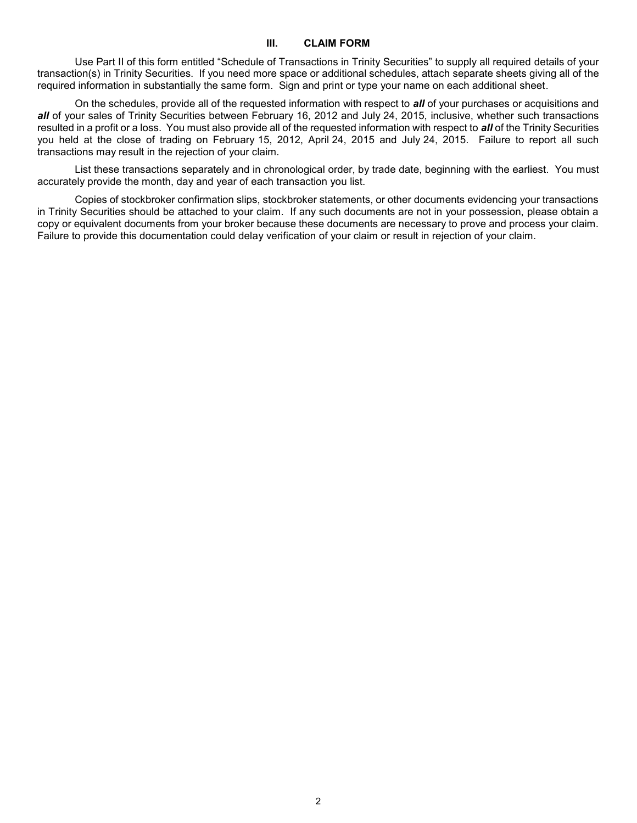#### **III. CLAIM FORM**

Use Part II of this form entitled "Schedule of Transactions in Trinity Securities" to supply all required details of your transaction(s) in Trinity Securities. If you need more space or additional schedules, attach separate sheets giving all of the required information in substantially the same form. Sign and print or type your name on each additional sheet.

On the schedules, provide all of the requested information with respect to *all* of your purchases or acquisitions and *all* of your sales of Trinity Securities between February 16, 2012 and July 24, 2015, inclusive, whether such transactions resulted in a profit or a loss. You must also provide all of the requested information with respect to *all* of the Trinity Securities you held at the close of trading on February 15, 2012, April 24, 2015 and July 24, 2015. Failure to report all such transactions may result in the rejection of your claim.

List these transactions separately and in chronological order, by trade date, beginning with the earliest. You must accurately provide the month, day and year of each transaction you list.

Copies of stockbroker confirmation slips, stockbroker statements, or other documents evidencing your transactions in Trinity Securities should be attached to your claim. If any such documents are not in your possession, please obtain a copy or equivalent documents from your broker because these documents are necessary to prove and process your claim. Failure to provide this documentation could delay verification of your claim or result in rejection of your claim.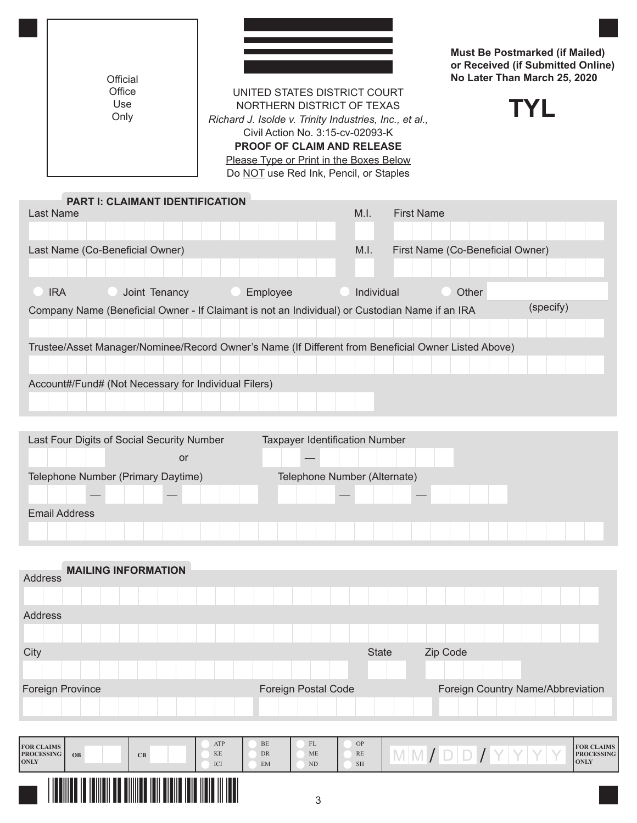| Official                                                                                                                                                                                                                                                           |                              |                           | <b>Must Be Postmarked (if Mailed)</b><br>or Received (if Submitted Online)<br>No Later Than March 25, 2020 |  |  |  |  |  |  |
|--------------------------------------------------------------------------------------------------------------------------------------------------------------------------------------------------------------------------------------------------------------------|------------------------------|---------------------------|------------------------------------------------------------------------------------------------------------|--|--|--|--|--|--|
| Office<br>Use                                                                                                                                                                                                                                                      | UNITED STATES DISTRICT COURT |                           |                                                                                                            |  |  |  |  |  |  |
| NORTHERN DISTRICT OF TEXAS<br>TYI.<br>Only<br>Richard J. Isolde v. Trinity Industries, Inc., et al.,<br>Civil Action No. 3:15-cv-02093-K<br><b>PROOF OF CLAIM AND RELEASE</b><br>Please Type or Print in the Boxes Below<br>Do NOT use Red Ink, Pencil, or Staples |                              |                           |                                                                                                            |  |  |  |  |  |  |
| <b>PART I: CLAIMANT IDENTIFICATION</b><br><b>Last Name</b>                                                                                                                                                                                                         |                              | <b>First Name</b><br>M.I. |                                                                                                            |  |  |  |  |  |  |
|                                                                                                                                                                                                                                                                    |                              |                           |                                                                                                            |  |  |  |  |  |  |
| Last Name (Co-Beneficial Owner)                                                                                                                                                                                                                                    |                              | M.I.                      | First Name (Co-Beneficial Owner)                                                                           |  |  |  |  |  |  |
|                                                                                                                                                                                                                                                                    |                              |                           |                                                                                                            |  |  |  |  |  |  |
| <b>IRA</b><br>Joint Tenancy                                                                                                                                                                                                                                        | Employee                     | Individual                | Other                                                                                                      |  |  |  |  |  |  |
| Company Name (Beneficial Owner - If Claimant is not an Individual) or Custodian Name if an IRA                                                                                                                                                                     |                              |                           | (specify)                                                                                                  |  |  |  |  |  |  |
|                                                                                                                                                                                                                                                                    |                              |                           |                                                                                                            |  |  |  |  |  |  |
| Trustee/Asset Manager/Nominee/Record Owner's Name (If Different from Beneficial Owner Listed Above)                                                                                                                                                                |                              |                           |                                                                                                            |  |  |  |  |  |  |
| Account#/Fund# (Not Necessary for Individual Filers)                                                                                                                                                                                                               |                              |                           |                                                                                                            |  |  |  |  |  |  |
|                                                                                                                                                                                                                                                                    |                              |                           |                                                                                                            |  |  |  |  |  |  |
|                                                                                                                                                                                                                                                                    |                              |                           |                                                                                                            |  |  |  |  |  |  |

| Last Four Digits of Social Security Number | <b>Taxpayer Identification Number</b> |  |  |  |  |  |  |  |  |  |
|--------------------------------------------|---------------------------------------|--|--|--|--|--|--|--|--|--|
| or                                         |                                       |  |  |  |  |  |  |  |  |  |
| Telephone Number (Primary Daytime)         | Telephone Number (Alternate)          |  |  |  |  |  |  |  |  |  |
|                                            |                                       |  |  |  |  |  |  |  |  |  |
| <b>Email Address</b>                       |                                       |  |  |  |  |  |  |  |  |  |
|                                            |                                       |  |  |  |  |  |  |  |  |  |

|                                                       | <b>MAILING INFORMATION</b> |      |                  |                       |                              |                       |                                   |          |  |  |  |  |                                                |
|-------------------------------------------------------|----------------------------|------|------------------|-----------------------|------------------------------|-----------------------|-----------------------------------|----------|--|--|--|--|------------------------------------------------|
| Address                                               |                            |      |                  |                       |                              |                       |                                   |          |  |  |  |  |                                                |
|                                                       |                            |      |                  |                       |                              |                       |                                   |          |  |  |  |  |                                                |
| Address                                               |                            |      |                  |                       |                              |                       |                                   |          |  |  |  |  |                                                |
|                                                       |                            |      |                  |                       |                              |                       |                                   |          |  |  |  |  |                                                |
| City                                                  |                            |      |                  |                       |                              | <b>State</b>          |                                   | Zip Code |  |  |  |  |                                                |
|                                                       |                            |      |                  |                       |                              |                       |                                   |          |  |  |  |  |                                                |
| <b>Foreign Province</b>                               |                            |      |                  |                       | <b>Foreign Postal Code</b>   |                       | Foreign Country Name/Abbreviation |          |  |  |  |  |                                                |
|                                                       |                            |      |                  |                       |                              |                       |                                   |          |  |  |  |  |                                                |
|                                                       |                            |      |                  |                       |                              |                       |                                   |          |  |  |  |  |                                                |
| <b>FOR CLAIMS</b><br><b>PROCESSING</b><br><b>ONLY</b> | OB                         | CB   | ATP<br>KE<br>ICI | BE<br><b>DR</b><br>EM | FL<br><b>ME</b><br><b>ND</b> | OP<br>RE<br><b>SH</b> | MM/DD/YYYY                        |          |  |  |  |  | <b>FOR CLAIMS</b><br><b>PROCESSING</b><br>ONLY |
|                                                       | IIII                       | HIII |                  |                       | 3                            |                       |                                   |          |  |  |  |  |                                                |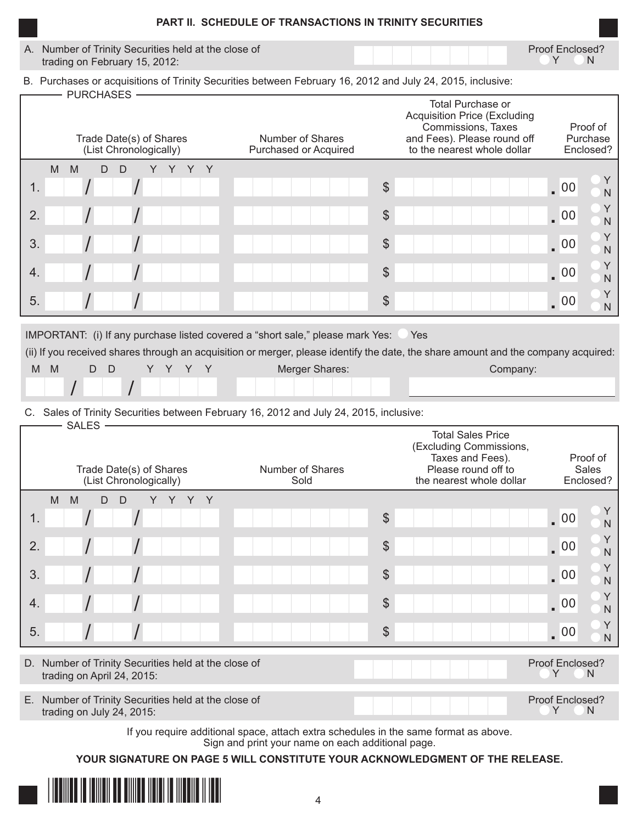| <b>PART II. SCHEDULE OF TRANSACTIONS IN TRINITY SECURITIES</b>                        |                 |
|---------------------------------------------------------------------------------------|-----------------|
| A. Number of Trinity Securities held at the close of<br>trading on February 15, 2012: | Proof Enclosed? |

B. Purchases or acquisitions of Trinity Securities between February 16, 2012 and July 24, 2015, inclusive:

| <b>PURCHASES</b><br>Trade Date(s) of Shares<br>(List Chronologically) | Number of Shares<br>Purchased or Acquired | Total Purchase or<br><b>Acquisition Price (Excluding</b><br>Commissions, Taxes<br>and Fees). Please round off<br>to the nearest whole dollar | Proof of<br>Purchase<br>Enclosed? |  |  |
|-----------------------------------------------------------------------|-------------------------------------------|----------------------------------------------------------------------------------------------------------------------------------------------|-----------------------------------|--|--|
| M<br>M<br>D.<br>D<br>Y                                                |                                           |                                                                                                                                              |                                   |  |  |
| 1.                                                                    |                                           | $\frac{1}{2}$                                                                                                                                | $\sqrt{00}$<br>N                  |  |  |
| 2.                                                                    |                                           | $\frac{1}{2}$                                                                                                                                | $\sqrt{00}$<br>N                  |  |  |
| 3.                                                                    |                                           | $\frac{1}{2}$                                                                                                                                | $\sqrt{00}$<br>N                  |  |  |
| 4.                                                                    |                                           | $\frac{1}{2}$                                                                                                                                | Υ<br>$\sqrt{00}$<br>N             |  |  |
| 5.                                                                    |                                           | $\frac{1}{2}$                                                                                                                                | $\sqrt{00}$<br>N                  |  |  |

IMPORTANT: (i) If any purchase listed covered a "short sale," please mark Yes: Yes

(ii) If you received shares through an acquisition or merger, please identify the date, the share amount and the company acquired:

| M<br>M |  |  |  |  |  | Merger Shares: |  |  |  |  |  |  |  |  | Company: |  |  |
|--------|--|--|--|--|--|----------------|--|--|--|--|--|--|--|--|----------|--|--|
|        |  |  |  |  |  |                |  |  |  |  |  |  |  |  |          |  |  |

## C. Sales of Trinity Securities between February 16, 2012 and July 24, 2015, inclusive:

| <b>SALES</b>                                                                                                                                                                                                                                  |                          |                                                                                                                            |                                                          |
|-----------------------------------------------------------------------------------------------------------------------------------------------------------------------------------------------------------------------------------------------|--------------------------|----------------------------------------------------------------------------------------------------------------------------|----------------------------------------------------------|
| Trade Date(s) of Shares<br>(List Chronologically)                                                                                                                                                                                             | Number of Shares<br>Sold | <b>Total Sales Price</b><br>(Excluding Commissions,<br>Taxes and Fees).<br>Please round off to<br>the nearest whole dollar | Proof of<br>Sales<br>Enclosed?                           |
| M<br>M<br>D<br>Y<br>Y<br>$\mathsf{Y}$<br>D<br>Y                                                                                                                                                                                               |                          |                                                                                                                            |                                                          |
| 1.                                                                                                                                                                                                                                            |                          | $\frac{1}{2}$                                                                                                              | $\sqrt{00}$<br>$\mathsf{N}$                              |
| 2.                                                                                                                                                                                                                                            |                          | $\boldsymbol{\theta}$                                                                                                      | $\sqrt{00}$<br>$\mathsf{N}$                              |
| 3.                                                                                                                                                                                                                                            |                          | $\boldsymbol{\theta}$                                                                                                      | Υ<br>$\sqrt{00}$<br>$\overline{N}$                       |
| $\overline{4}$ .                                                                                                                                                                                                                              |                          | $\boldsymbol{\theta}$                                                                                                      | Y<br>$\sqrt{00}$<br>$\overline{N}$                       |
| 5.                                                                                                                                                                                                                                            |                          | $\boldsymbol{\theta}$                                                                                                      | Υ<br>$\sqrt{00}$<br>$\overline{N}$                       |
|                                                                                                                                                                                                                                               |                          |                                                                                                                            |                                                          |
| D. Number of Trinity Securities held at the close of<br>trading on April 24, 2015:                                                                                                                                                            |                          |                                                                                                                            | Proof Enclosed?<br>Y<br><sup>N</sup>                     |
| $\blacksquare$ . All continuous of $\blacksquare$ . The contract of the contract of the contract of the contract of the contract of the contract of the contract of the contract of the contract of the contract of the contract of the contr |                          |                                                                                                                            | $D_{\text{max}}$ of $P_{\text{max}}$ of $\sim$ 100 $\mu$ |

E. Number of Trinity Securities held at the close of Proof Enclosed?<br>Proof Enclosed?<br>Proof Enclosed? trading on July 24, 2015:

> If you require additional space, attach extra schedules in the same format as above. Sign and print your name on each additional page.

**YOUR SIGNATURE ON PAGE 5 WILL CONSTITUTE YOUR ACKNOWLEDGMENT OF THE RELEASE.**

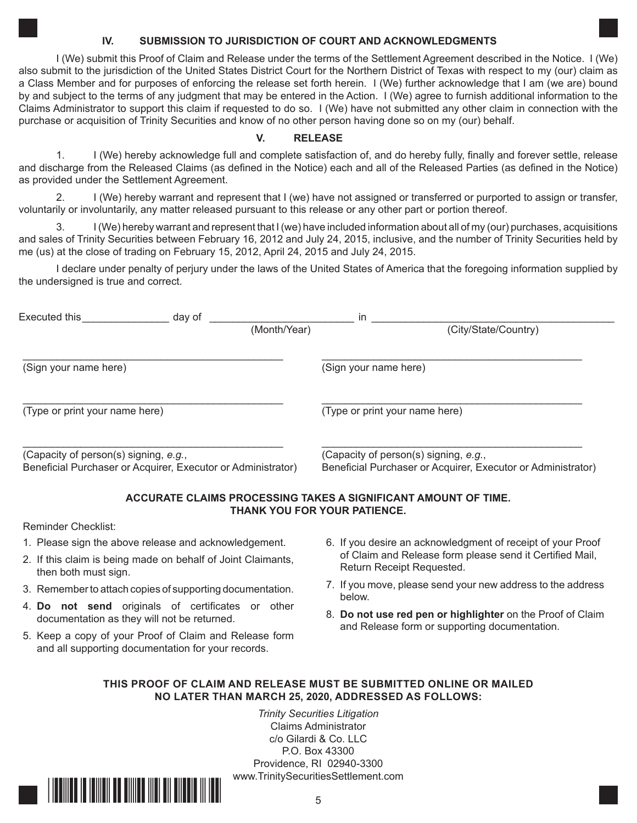### **IV. SUBMISSION TO JURISDICTION OF COURT AND ACKNOWLEDGMENTS**

I (We) submit this Proof of Claim and Release under the terms of the Settlement Agreement described in the Notice. I (We) also submit to the jurisdiction of the United States District Court for the Northern District of Texas with respect to my (our) claim as a Class Member and for purposes of enforcing the release set forth herein. I (We) further acknowledge that I am (we are) bound by and subject to the terms of any judgment that may be entered in the Action. I (We) agree to furnish additional information to the Claims Administrator to support this claim if requested to do so. I (We) have not submitted any other claim in connection with the purchase or acquisition of Trinity Securities and know of no other person having done so on my (our) behalf.

## **V. RELEASE**

1. I (We) hereby acknowledge full and complete satisfaction of, and do hereby fully, finally and forever settle, release and discharge from the Released Claims (as defined in the Notice) each and all of the Released Parties (as defined in the Notice) as provided under the Settlement Agreement.

2. I (We) hereby warrant and represent that I (we) have not assigned or transferred or purported to assign or transfer, voluntarily or involuntarily, any matter released pursuant to this release or any other part or portion thereof.

3. I (We) hereby warrant and represent that I (we) have included information about all of my (our) purchases, acquisitions and sales of Trinity Securities between February 16, 2012 and July 24, 2015, inclusive, and the number of Trinity Securities held by me (us) at the close of trading on February 15, 2012, April 24, 2015 and July 24, 2015.

I declare under penalty of perjury under the laws of the United States of America that the foregoing information supplied by the undersigned is true and correct.

| Executed this                                                                                         | day of | in           |                                                                                                       |  |  |  |  |  |  |
|-------------------------------------------------------------------------------------------------------|--------|--------------|-------------------------------------------------------------------------------------------------------|--|--|--|--|--|--|
|                                                                                                       |        | (Month/Year) | (City/State/Country)                                                                                  |  |  |  |  |  |  |
| (Sign your name here)                                                                                 |        |              | (Sign your name here)                                                                                 |  |  |  |  |  |  |
| (Type or print your name here)                                                                        |        |              | (Type or print your name here)                                                                        |  |  |  |  |  |  |
| (Capacity of person(s) signing, e.g.,<br>Beneficial Purchaser or Acquirer, Executor or Administrator) |        |              | (Capacity of person(s) signing, e.g.,<br>Beneficial Purchaser or Acquirer, Executor or Administrator) |  |  |  |  |  |  |

## **ACCURATE CLAIMS PROCESSING TAKES A SIGNIFICANT AMOUNT OF TIME. THANK YOU FOR YOUR PATIENCE.**

Reminder Checklist:

- 1. Please sign the above release and acknowledgement.
- 2. If this claim is being made on behalf of Joint Claimants, then both must sign.
- 3. Remember to attach copies of supporting documentation.
- 4. **Do not send** originals of certificates or other documentation as they will not be returned.
- 5. Keep a copy of your Proof of Claim and Release form and all supporting documentation for your records.
- 6. If you desire an acknowledgment of receipt of your Proof of Claim and Release form please send it Certified Mail, Return Receipt Requested.
- 7. If you move, please send your new address to the address below.
- 8. **Do not use red pen or highlighter** on the Proof of Claim and Release form or supporting documentation.

# **THIS PROOF OF CLAIM AND RELEASE MUST BE SUBMITTED ONLINE OR MAILED NO LATER THAN MARCH 25, 2020, ADDRESSED AS FOLLOWS:**

*Trinity Securities Litigation* Claims Administrator c/o Gilardi & Co. LLC P.O. Box 43300 Providence, RI 02940-3300 www.TrinitySecuritiesSettlement.com